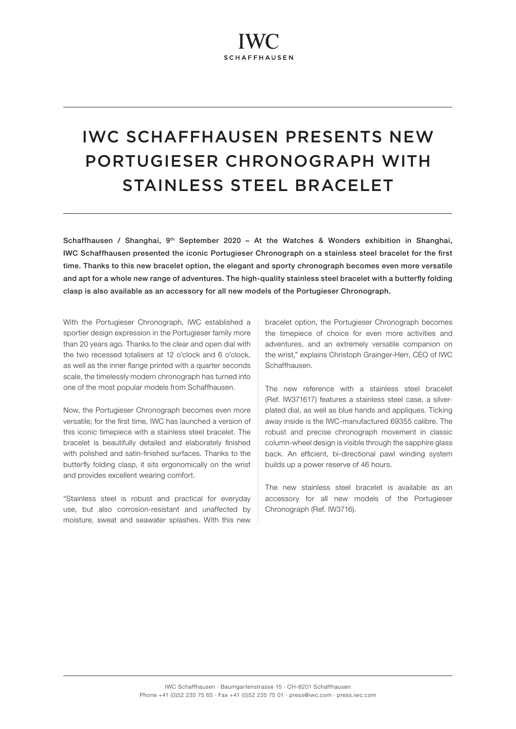# IWC SCHAFFHAUSEN PRESENTS NEW PORTUGIESER CHRONOGRAPH WITH STAINLESS STEEL BRACELET

Schaffhausen / Shanghai, 9<sup>th</sup> September 2020 - At the Watches & Wonders exhibition in Shanghai, IWC Schaffhausen presented the iconic Portugieser Chronograph on a stainless steel bracelet for the first time. Thanks to this new bracelet option, the elegant and sporty chronograph becomes even more versatile and apt for a whole new range of adventures. The high-quality stainless steel bracelet with a butterfly folding clasp is also available as an accessory for all new models of the Portugieser Chronograph.

With the Portugieser Chronograph, IWC established a sportier design expression in the Portugieser family more than 20 years ago. Thanks to the clear and open dial with the two recessed totalisers at 12 o'clock and 6 o'clock, as well as the inner flange printed with a quarter seconds scale, the timelessly modern chronograph has turned into one of the most popular models from Schaffhausen.

Now, the Portugieser Chronograph becomes even more versatile; for the first time, IWC has launched a version of this iconic timepiece with a stainless steel bracelet. The bracelet is beautifully detailed and elaborately finished with polished and satin-finished surfaces. Thanks to the butterfly folding clasp, it sits ergonomically on the wrist and provides excellent wearing comfort.

"Stainless steel is robust and practical for everyday use, but also corrosion-resistant and unaffected by moisture, sweat and seawater splashes. With this new bracelet option, the Portugieser Chronograph becomes the timepiece of choice for even more activities and adventures, and an extremely versatile companion on the wrist," explains Christoph Grainger-Herr, CEO of IWC Schaffhausen.

The new reference with a stainless steel bracelet (Ref. IW371617) features a stainless steel case, a silverplated dial, as well as blue hands and appliques. Ticking away inside is the IWC-manufactured 69355 calibre. The robust and precise chronograph movement in classic column-wheel design is visible through the sapphire glass back. An efficient, bi-directional pawl winding system builds up a power reserve of 46 hours.

The new stainless steel bracelet is available as an accessory for all new models of the Portugieser Chronograph (Ref. IW3716).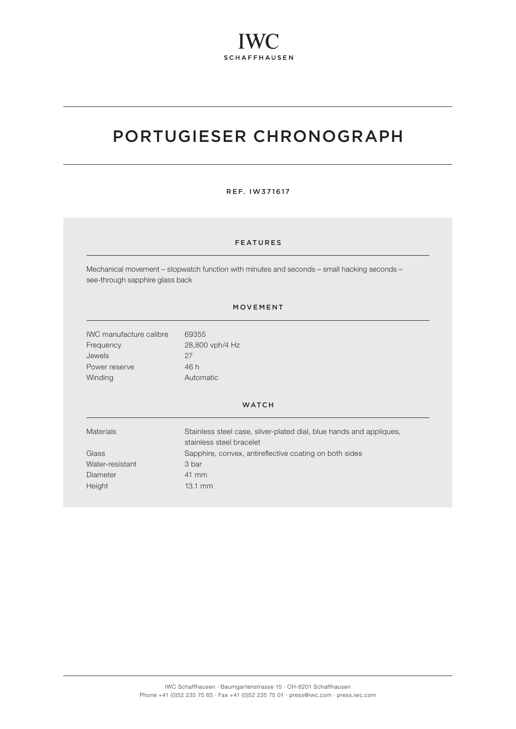# PORTUGIESER CHRONOGRAPH

#### REF. IW371617

## FEATURES

Mechanical movement – stopwatch function with minutes and seconds – small hacking seconds – see-through sapphire glass back

### MOVEMENT

| <b>IWC</b> manufacture calibre | 69355           |
|--------------------------------|-----------------|
| Frequency                      | 28,800 vph/4 Hz |
| <b>Jewels</b>                  | 27              |
| Power reserve                  | 46 h            |
| Winding                        | Automatic       |

#### WATCH

| Stainless steel case, silver-plated dial, blue hands and appliques,<br>stainless steel bracelet |
|-------------------------------------------------------------------------------------------------|
| Sapphire, convex, antireflective coating on both sides                                          |
| 3 bar                                                                                           |
| 41 mm                                                                                           |
| $13.1 \text{ mm}$                                                                               |
|                                                                                                 |